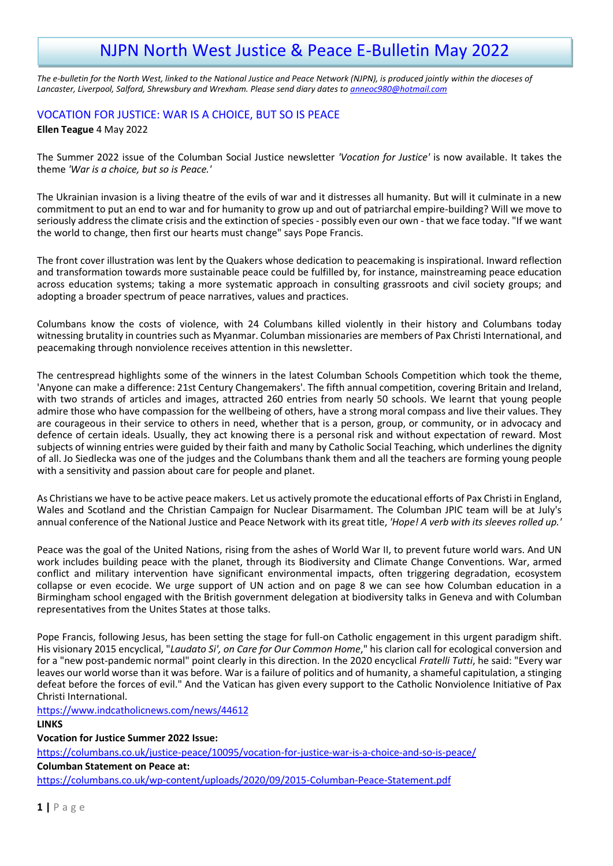# NJPN North West Justice & Peace E-Bulletin May 2022

*The e-bulletin for the North West, linked to the National Justice and Peace Network (NJPN), is produced jointly within the dioceses of Lancaster, Liverpool, Salford, Shrewsbury and Wrexham. Please send diary dates to [anneoc980@hotmail.com](mailto:anneoc980@hotmail.com)*

# VOCATION FOR JUSTICE: WAR IS A CHOICE, BUT SO IS PEACE

#### **Ellen Teague** 4 May 2022

The Summer 2022 issue of the Columban Social Justice newsletter *'Vocation for Justice'* is now available. It takes the theme *'War is a choice, but so is Peace.'*

The Ukrainian invasion is a living theatre of the evils of war and it distresses all humanity. But will it culminate in a new commitment to put an end to war and for humanity to grow up and out of patriarchal empire-building? Will we move to seriously address the climate crisis and the extinction of species - possibly even our own - that we face today. "If we want the world to change, then first our hearts must change" says Pope Francis.

The front cover illustration was lent by the Quakers whose dedication to peacemaking is inspirational. Inward reflection and transformation towards more sustainable peace could be fulfilled by, for instance, mainstreaming peace education across education systems; taking a more systematic approach in consulting grassroots and civil society groups; and adopting a broader spectrum of peace narratives, values and practices.

Columbans know the costs of violence, with 24 Columbans killed violently in their history and Columbans today witnessing brutality in countries such as Myanmar. Columban missionaries are members of Pax Christi International, and peacemaking through nonviolence receives attention in this newsletter.

The centrespread highlights some of the winners in the latest Columban Schools Competition which took the theme, 'Anyone can make a difference: 21st Century Changemakers'. The fifth annual competition, covering Britain and Ireland, with two strands of articles and images, attracted 260 entries from nearly 50 schools. We learnt that young people admire those who have compassion for the wellbeing of others, have a strong moral compass and live their values. They are courageous in their service to others in need, whether that is a person, group, or community, or in advocacy and defence of certain ideals. Usually, they act knowing there is a personal risk and without expectation of reward. Most subjects of winning entries were guided by their faith and many by Catholic Social Teaching, which underlines the dignity of all. Jo Siedlecka was one of the judges and the Columbans thank them and all the teachers are forming young people with a sensitivity and passion about care for people and planet.

As Christians we have to be active peace makers. Let us actively promote the educational efforts of Pax Christi in England, Wales and Scotland and the Christian Campaign for Nuclear Disarmament. The Columban JPIC team will be at July's annual conference of the National Justice and Peace Network with its great title, *'Hope! A verb with its sleeves rolled up.'*

Peace was the goal of the United Nations, rising from the ashes of World War II, to prevent future world wars. And UN work includes building peace with the planet, through its Biodiversity and Climate Change Conventions. War, armed conflict and military intervention have significant environmental impacts, often triggering degradation, ecosystem collapse or even ecocide. We urge support of UN action and on page 8 we can see how Columban education in a Birmingham school engaged with the British government delegation at biodiversity talks in Geneva and with Columban representatives from the Unites States at those talks.

Pope Francis, following Jesus, has been setting the stage for full-on Catholic engagement in this urgent paradigm shift. His visionary 2015 encyclical, "*Laudato Si', on Care for Our Common Home*," his clarion call for ecological conversion and for a "new post-pandemic normal" point clearly in this direction. In the 2020 encyclical *Fratelli Tutti*, he said: "Every war leaves our world worse than it was before. War is a failure of politics and of humanity, a shameful capitulation, a stinging defeat before the forces of evil." And the Vatican has given every support to the Catholic Nonviolence Initiative of Pax Christi International.

<https://www.indcatholicnews.com/news/44612>

**LINKS**

**Vocation for Justice Summer 2022 Issue:**

<https://columbans.co.uk/justice-peace/10095/vocation-for-justice-war-is-a-choice-and-so-is-peace/>

**Columban Statement on Peace at:**

<https://columbans.co.uk/wp-content/uploads/2020/09/2015-Columban-Peace-Statement.pdf>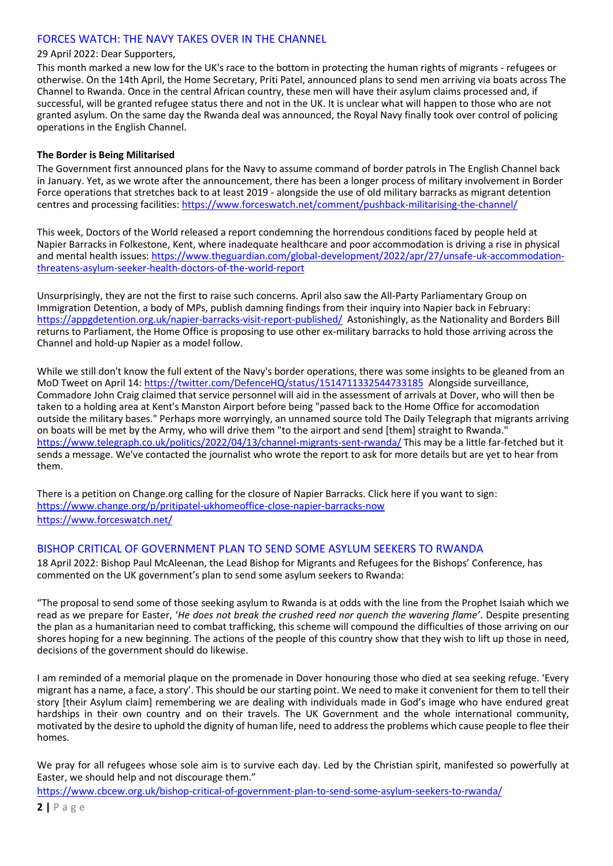# FORCES WATCH: THE NAVY TAKES OVER IN THE CHANNEL

#### 29 April 2022: Dear Supporters,

This month marked a new low for the UK's race to the bottom in protecting the human rights of migrants - refugees or otherwise. On the 14th April, the Home Secretary, Priti Patel, announced plans to send men arriving via boats across The Channel to Rwanda. Once in the central African country, these men will have their asylum claims processed and, if successful, will be granted refugee status there and not in the UK. It is unclear what will happen to those who are not granted asylum. On the same day the Rwanda deal was announced, the Royal Navy finally took over control of policing operations in the English Channel.

#### **The Border is Being Militarised**

The Government first announced plans for the Navy to assume command of border patrols in The English Channel back in January. Yet, as we wrote after the announcement, there has been a longer process of military involvement in Border Force operations that stretches back to at least 2019 - alongside the use of old military barracks as migrant detention centres and processing facilities[: https://www.forceswatch.net/comment/pushback-militarising-the-channel/](https://www.forceswatch.net/comment/pushback-militarising-the-channel/)

This week, Doctors of the World released a report condemning the horrendous conditions faced by people held at Napier Barracks in Folkestone, Kent, where inadequate healthcare and poor accommodation is driving a rise in physical and mental health issues: [https://www.theguardian.com/global-development/2022/apr/27/unsafe-uk-accommodation](https://www.theguardian.com/global-development/2022/apr/27/unsafe-uk-accommodation-threatens-asylum-seeker-health-doctors-of-the-world-report)[threatens-asylum-seeker-health-doctors-of-the-world-report](https://www.theguardian.com/global-development/2022/apr/27/unsafe-uk-accommodation-threatens-asylum-seeker-health-doctors-of-the-world-report)

Unsurprisingly, they are not the first to raise such concerns. April also saw the All-Party Parliamentary Group on Immigration Detention, a body of MPs, publish damning findings from their inquiry into Napier back in February: <https://appgdetention.org.uk/napier-barracks-visit-report-published/> Astonishingly, as the Nationality and Borders Bill returns to Parliament, the Home Office is proposing to use other ex-military barracks to hold those arriving across the Channel and hold-up Napier as a model follow.

While we still don't know the full extent of the Navy's border operations, there was some insights to be gleaned from an MoD Tweet on April 14:<https://twitter.com/DefenceHQ/status/1514711332544733185> Alongside surveillance, Commadore John Craig claimed that service personnel will aid in the assessment of arrivals at Dover, who will then be taken to a holding area at Kent's Manston Airport before being "passed back to the Home Office for accomodation outside the military bases." Perhaps more worryingly, an unnamed source told The Daily Telegraph that migrants arriving on boats will be met by the Army, who will drive them "to the airport and send [them] straight to Rwanda." <https://www.telegraph.co.uk/politics/2022/04/13/channel-migrants-sent-rwanda/> This may be a little far-fetched but it sends a message. We've contacted the journalist who wrote the report to ask for more details but are yet to hear from them.

There is a petition on Change.org calling for the closure of Napier Barracks. Click here if you want to sign: <https://www.change.org/p/pritipatel-ukhomeoffice-close-napier-barracks-now> <https://www.forceswatch.net/>

## BISHOP CRITICAL OF GOVERNMENT PLAN TO SEND SOME ASYLUM SEEKERS TO RWANDA

18 April 2022: Bishop Paul McAleenan, the Lead Bishop for Migrants and Refugees for the Bishops' Conference, has commented on the UK government's plan to send some asylum seekers to Rwanda:

"The proposal to send some of those seeking asylum to Rwanda is at odds with the line from the Prophet Isaiah which we read as we prepare for Easter, '*He does not break the crushed reed nor quench the wavering flame'*. Despite presenting the plan as a humanitarian need to combat trafficking, this scheme will compound the difficulties of those arriving on our shores hoping for a new beginning. The actions of the people of this country show that they wish to lift up those in need, decisions of the government should do likewise.

I am reminded of a memorial plaque on the promenade in Dover honouring those who died at sea seeking refuge. 'Every migrant has a name, a face, a story'. This should be our starting point. We need to make it convenient for them to tell their story [their Asylum claim] remembering we are dealing with individuals made in God's image who have endured great hardships in their own country and on their travels. The UK Government and the whole international community, motivated by the desire to uphold the dignity of human life, need to address the problems which cause people to flee their homes.

We pray for all refugees whose sole aim is to survive each day. Led by the Christian spirit, manifested so powerfully at Easter, we should help and not discourage them."

<https://www.cbcew.org.uk/bishop-critical-of-government-plan-to-send-some-asylum-seekers-to-rwanda/>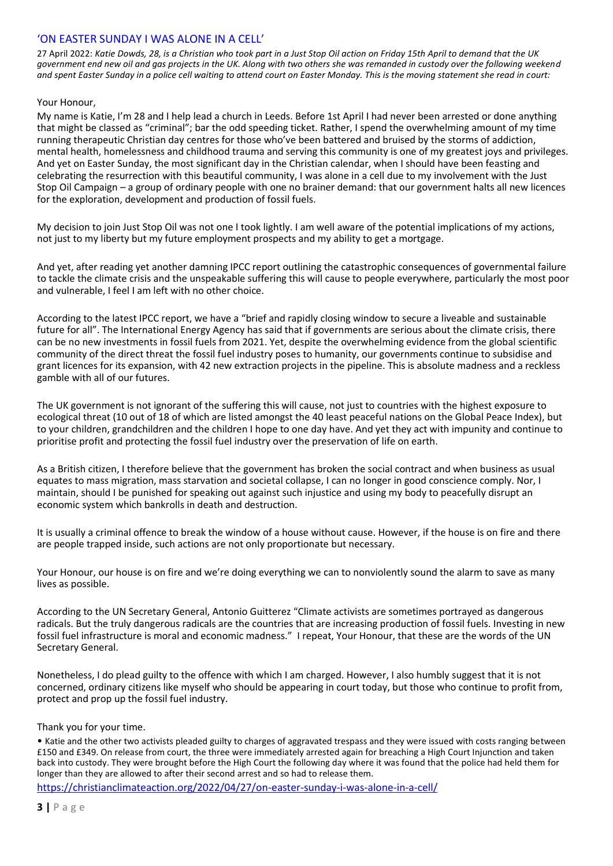# 'ON EASTER SUNDAY I WAS ALONE IN A CELL'

27 April 2022: *Katie Dowds, 28, is a Christian who took part in a Just Stop Oil action on Friday 15th April to demand that the UK government end new oil and gas projects in the UK. Along with two others she was remanded in custody over the following weekend and spent Easter Sunday in a police cell waiting to attend court on Easter Monday. This is the moving statement she read in court:*

#### Your Honour,

My name is Katie, I'm 28 and I help lead a church in Leeds. Before 1st April I had never been arrested or done anything that might be classed as "criminal"; bar the odd speeding ticket. Rather, I spend the overwhelming amount of my time running therapeutic Christian day centres for those who've been battered and bruised by the storms of addiction, mental health, homelessness and childhood trauma and serving this community is one of my greatest joys and privileges. And yet on Easter Sunday, the most significant day in the Christian calendar, when I should have been feasting and celebrating the resurrection with this beautiful community, I was alone in a cell due to my involvement with the Just Stop Oil Campaign – a group of ordinary people with one no brainer demand: that our government halts all new licences for the exploration, development and production of fossil fuels.

My decision to join Just Stop Oil was not one I took lightly. I am well aware of the potential implications of my actions, not just to my liberty but my future employment prospects and my ability to get a mortgage.

And yet, after reading yet another damning IPCC report outlining the catastrophic consequences of governmental failure to tackle the climate crisis and the unspeakable suffering this will cause to people everywhere, particularly the most poor and vulnerable, I feel I am left with no other choice.

According to the latest IPCC report, we have a "brief and rapidly closing window to secure a liveable and sustainable future for all". The International Energy Agency has said that if governments are serious about the climate crisis, there can be no new investments in fossil fuels from 2021. Yet, despite the overwhelming evidence from the global scientific community of the direct threat the fossil fuel industry poses to humanity, our governments continue to subsidise and grant licences for its expansion, with 42 new extraction projects in the pipeline. This is absolute madness and a reckless gamble with all of our futures.

The UK government is not ignorant of the suffering this will cause, not just to countries with the highest exposure to ecological threat (10 out of 18 of which are listed amongst the 40 least peaceful nations on the Global Peace Index), but to your children, grandchildren and the children I hope to one day have. And yet they act with impunity and continue to prioritise profit and protecting the fossil fuel industry over the preservation of life on earth.

As a British citizen, I therefore believe that the government has broken the social contract and when business as usual equates to mass migration, mass starvation and societal collapse, I can no longer in good conscience comply. Nor, I maintain, should I be punished for speaking out against such injustice and using my body to peacefully disrupt an economic system which bankrolls in death and destruction.

It is usually a criminal offence to break the window of a house without cause. However, if the house is on fire and there are people trapped inside, such actions are not only proportionate but necessary.

Your Honour, our house is on fire and we're doing everything we can to nonviolently sound the alarm to save as many lives as possible.

According to the UN Secretary General, Antonio Guitterez "Climate activists are sometimes portrayed as dangerous radicals. But the truly dangerous radicals are the countries that are increasing production of fossil fuels. Investing in new fossil fuel infrastructure is moral and economic madness." I repeat, Your Honour, that these are the words of the UN Secretary General.

Nonetheless, I do plead guilty to the offence with which I am charged. However, I also humbly suggest that it is not concerned, ordinary citizens like myself who should be appearing in court today, but those who continue to profit from, protect and prop up the fossil fuel industry.

Thank you for your time.

• Katie and the other two activists pleaded guilty to charges of aggravated trespass and they were issued with costs ranging between £150 and £349. On release from court, the three were immediately arrested again for breaching a High Court Injunction and taken back into custody. They were brought before the High Court the following day where it was found that the police had held them for longer than they are allowed to after their second arrest and so had to release them.

<https://christianclimateaction.org/2022/04/27/on-easter-sunday-i-was-alone-in-a-cell/>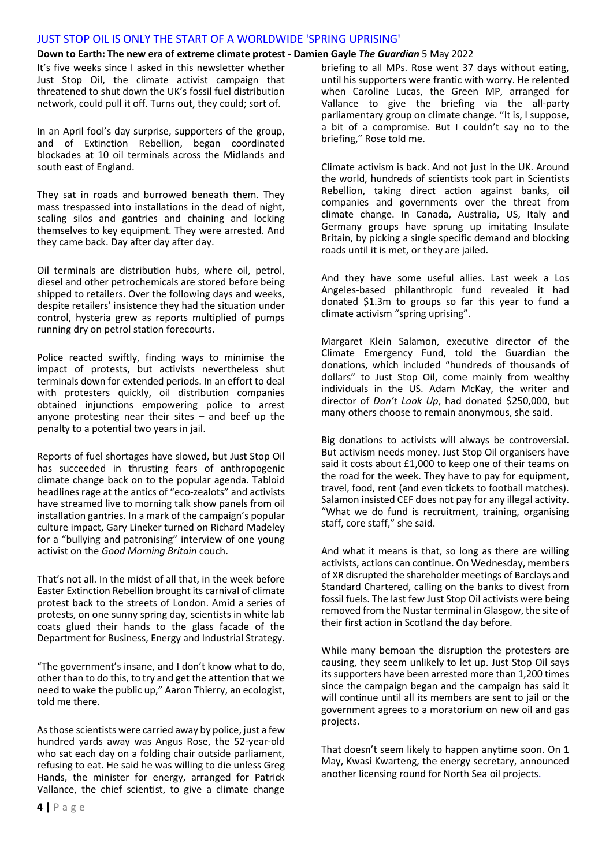#### JUST STOP OIL IS ONLY THE START OF A WORLDWIDE 'SPRING UPRISING'

#### **Down to Earth: The new era of extreme climate protest - Damien Gayle** *The Guardian* 5 May 2022

It's five weeks since I asked in this newsletter whether Just Stop Oil, the climate activist campaign that threatened to shut down the UK's fossil fuel distribution network, could pull it off. Turns out, they could; sort of.

In an April fool's day surprise, supporters of the group, and of Extinction Rebellion, began coordinated blockades at 10 oil terminals across the Midlands and south east of England.

They sat in roads and burrowed beneath them. They mass trespassed into installations in the dead of night, scaling silos and gantries and chaining and locking themselves to key equipment. They were arrested. And they came back. Day after day after day.

Oil terminals are distribution hubs, where oil, petrol, diesel and other petrochemicals are stored before being shipped to retailers. Over the following days and weeks, despite retailers' insistence they had the situation under control, hysteria grew as reports multiplied of pumps running dry on petrol station forecourts.

Police reacted swiftly, finding ways to minimise the impact of protests, but activists nevertheless shut terminals down for extended periods. In an effort to deal with protesters quickly, oil distribution companies obtained injunctions empowering police to arrest anyone protesting near their sites – and beef up the penalty to a potential two years in jail.

Reports of fuel shortages have slowed, but Just Stop Oil has succeeded in thrusting fears of anthropogenic climate change back on to the popular agenda. Tabloid headlines rage at the antics of "eco-zealots" and activists have streamed live to morning talk show panels from oil installation gantries. In a mark of the campaign's popular culture impact, Gary Lineker turned on Richard Madeley for a "bullying and patronising" interview of one young activist on the *Good Morning Britain* couch.

That's not all. In the midst of all that, in the week before Easter Extinction Rebellion brought its carnival of climate protest back to the streets of London. Amid a series of protests, on one sunny spring day, scientists in white lab coats glued their hands to the glass facade of the Department for Business, Energy and Industrial Strategy.

"The government's insane, and I don't know what to do, other than to do this, to try and get the attention that we need to wake the public up," Aaron Thierry, an ecologist, told me there.

As those scientists were carried away by police, just a few hundred yards away was Angus Rose, the 52-year-old who sat each day on a folding chair outside parliament, refusing to eat. He said he was willing to die unless Greg Hands, the minister for energy, arranged for Patrick Vallance, the chief scientist, to give a climate change

briefing to all MPs. Rose went 37 days without eating, until his supporters were frantic with worry. He relented when Caroline Lucas, the Green MP, arranged for Vallance to give the briefing via the all-party parliamentary group on climate change. "It is, I suppose, a bit of a compromise. But I couldn't say no to the briefing," Rose told me.

Climate activism is back. And not just in the UK. Around the world, hundreds of scientists took part in Scientists Rebellion, taking direct action against banks, oil companies and governments over the threat from climate change. In Canada, Australia, US, Italy and Germany groups have sprung up imitating Insulate Britain, by picking a single specific demand and blocking roads until it is met, or they are jailed.

And they have some useful allies. Last week a Los Angeles-based philanthropic fund revealed it had donated \$1.3m to groups so far this year to fund a climate activism "spring uprising".

Margaret Klein Salamon, executive director of the Climate Emergency Fund, told the Guardian the donations, which included "hundreds of thousands of dollars" to Just Stop Oil, come mainly from wealthy individuals in the US. Adam McKay, the writer and director of *Don't Look Up*, had donated \$250,000, but many others choose to remain anonymous, she said.

Big donations to activists will always be controversial. But activism needs money. Just Stop Oil organisers have said it costs about £1,000 to keep one of their teams on the road for the week. They have to pay for equipment, travel, food, rent (and even tickets to football matches). Salamon insisted CEF does not pay for any illegal activity. "What we do fund is recruitment, training, organising staff, core staff," she said.

And what it means is that, so long as there are willing activists, actions can continue. On Wednesday, members of XR disrupted the shareholder meetings of Barclays and Standard Chartered, calling on the banks to divest from fossil fuels. The last few Just Stop Oil activists were being removed from the Nustar terminal in Glasgow, the site of their first action in Scotland the day before.

While many bemoan the disruption the protesters are causing, they seem unlikely to let up. Just Stop Oil says its supporters have been arrested more than 1,200 times since the campaign began and the campaign has said it will continue until all its members are sent to jail or the government agrees to a moratorium on new oil and gas projects.

That doesn't seem likely to happen anytime soon. On 1 May, Kwasi Kwarteng, the energy secretary, announced another licensing round for North Sea oil projects.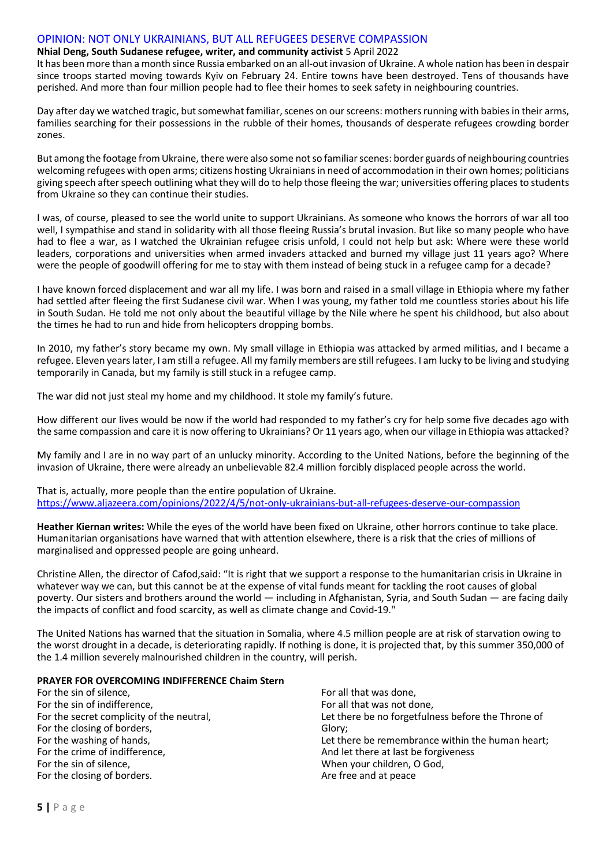#### OPINION: NOT ONLY UKRAINIANS, BUT ALL REFUGEES DESERVE COMPASSION

#### **Nhial Deng, South Sudanese refugee, writer, and community activist** 5 April 2022

It has been more than a month since Russia embarked on an all-out invasion of Ukraine. A whole nation has been in despair since troops started moving towards Kyiv on February 24. Entire towns have been destroyed. Tens of thousands have perished. And more than four million people had to flee their homes to seek safety in neighbouring countries.

Day after day we watched tragic, but somewhat familiar, scenes on our screens: mothers running with babies in their arms, families searching for their possessions in the rubble of their homes, thousands of desperate refugees crowding border zones.

But among the footage from Ukraine, there were also some not so familiar scenes: border guards of neighbouring countries welcoming refugees with open arms; citizens hosting Ukrainians in need of accommodation in their own homes; politicians giving speech after speech outlining what they will do to help those fleeing the war; universities offering places to students from Ukraine so they can continue their studies.

I was, of course, pleased to see the world unite to support Ukrainians. As someone who knows the horrors of war all too well, I sympathise and stand in solidarity with all those fleeing Russia's brutal invasion. But like so many people who have had to flee a war, as I watched the Ukrainian refugee crisis unfold, I could not help but ask: Where were these world leaders, corporations and universities when armed invaders attacked and burned my village just 11 years ago? Where were the people of goodwill offering for me to stay with them instead of being stuck in a refugee camp for a decade?

I have known forced displacement and war all my life. I was born and raised in a small village in Ethiopia where my father had settled after fleeing the first Sudanese civil war. When I was young, my father told me countless stories about his life in South Sudan. He told me not only about the beautiful village by the Nile where he spent his childhood, but also about the times he had to run and hide from helicopters dropping bombs.

In 2010, my father's story became my own. My small village in Ethiopia was attacked by armed militias, and I became a refugee. Eleven years later, I am still a refugee. All my family members are still refugees. I am lucky to be living and studying temporarily in Canada, but my family is still stuck in a refugee camp.

The war did not just steal my home and my childhood. It stole my family's future.

How different our lives would be now if the world had responded to my father's cry for help some five decades ago with the same compassion and care it is now offering to Ukrainians? Or 11 years ago, when our village in Ethiopia was attacked?

My family and I are in no way part of an unlucky minority. According to the United Nations, before the beginning of the invasion of Ukraine, there were already an unbelievable 82.4 million forcibly displaced people across the world.

That is, actually, more people than the entire population of Ukraine. <https://www.aljazeera.com/opinions/2022/4/5/not-only-ukrainians-but-all-refugees-deserve-our-compassion>

**Heather Kiernan writes:** While the eyes of the world have been fixed on Ukraine, other horrors continue to take place. Humanitarian organisations have warned that with attention elsewhere, there is a risk that the cries of millions of marginalised and oppressed people are going unheard.

Christine Allen, the director of Cafod,said: "It is right that we support a response to the humanitarian crisis in Ukraine in whatever way we can, but this cannot be at the expense of vital funds meant for tackling the root causes of global poverty. Our sisters and brothers around the world — including in Afghanistan, Syria, and South Sudan — are facing daily the impacts of conflict and food scarcity, as well as climate change and Covid-19."

The United Nations has warned that the situation in Somalia, where 4.5 million people are at risk of starvation owing to the worst drought in a decade, is deteriorating rapidly. If nothing is done, it is projected that, by this summer 350,000 of the 1.4 million severely malnourished children in the country, will perish.

#### **PRAYER FOR OVERCOMING INDIFFERENCE Chaim Stern**

For the sin of silence, For the sin of indifference, For the secret complicity of the neutral, For the closing of borders, For the washing of hands, For the crime of indifference, For the sin of silence, For the closing of borders.

For all that was done, For all that was not done, Let there be no forgetfulness before the Throne of Glory; Let there be remembrance within the human heart; And let there at last be forgiveness When your children, O God, Are free and at peace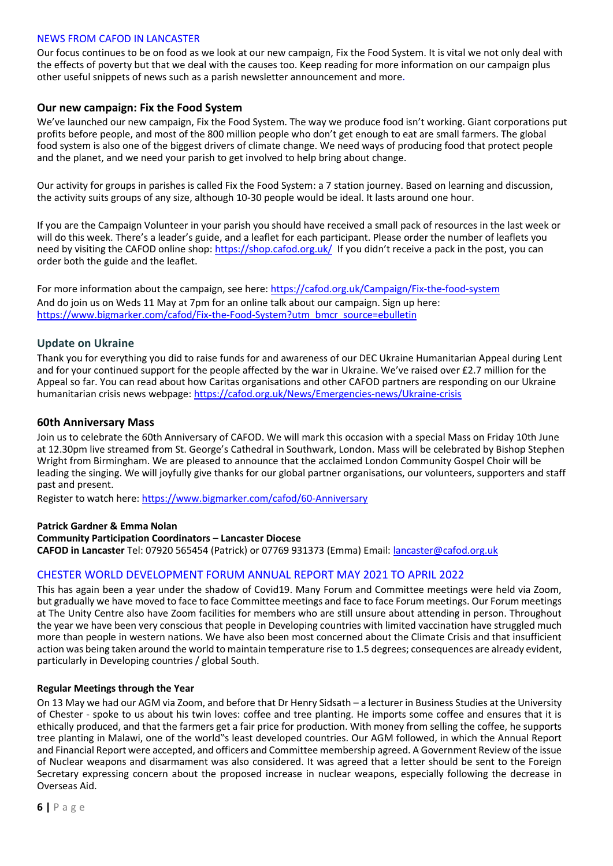## NEWS FROM CAFOD IN LANCASTER

Our focus continues to be on food as we look at our new campaign, Fix the Food System. It is vital we not only deal with the effects of poverty but that we deal with the causes too. Keep reading for more information on our campaign plus other useful snippets of news such as a parish newsletter announcement and more.

# **Our new campaign: Fix the Food System**

We've launched our new campaign, Fix the Food System. The way we produce food isn't working. Giant corporations put profits before people, and most of the 800 million people who don't get enough to eat are small farmers. The global food system is also one of the biggest drivers of climate change. We need ways of producing food that protect people and the planet, and we need your parish to get involved to help bring about change.

Our activity for groups in parishes is called Fix the Food System: a 7 station journey. Based on learning and discussion, the activity suits groups of any size, although 10-30 people would be ideal. It lasts around one hour.

If you are the Campaign Volunteer in your parish you should have received a small pack of resources in the last week or will do this week. There's a leader's guide, and a leaflet for each participant. Please order the number of leaflets you need by visiting the CAFOD online shop[: https://shop.cafod.org.uk/](https://shop.cafod.org.uk/) If you didn't receive a pack in the post, you can order both the guide and the leaflet.

For more information about the campaign, see here:<https://cafod.org.uk/Campaign/Fix-the-food-system> And do join us on Weds 11 May at 7pm for an online talk about our campaign. Sign up here: [https://www.bigmarker.com/cafod/Fix-the-Food-System?utm\\_bmcr\\_source=ebulletin](https://www.bigmarker.com/cafod/Fix-the-Food-System?utm_bmcr_source=ebulletin)

# **Update on Ukraine**

Thank you for everything you did to raise funds for and awareness of our DEC Ukraine Humanitarian Appeal during Lent and for your continued support for the people affected by the war in Ukraine. We've raised over £2.7 million for the Appeal so far. You can read about how Caritas organisations and other CAFOD partners are responding on our Ukraine humanitarian crisis news webpage:<https://cafod.org.uk/News/Emergencies-news/Ukraine-crisis>

## **60th Anniversary Mass**

Join us to celebrate the 60th Anniversary of CAFOD. We will mark this occasion with a special Mass on Friday 10th June at 12.30pm live streamed from St. George's Cathedral in Southwark, London. Mass will be celebrated by Bishop Stephen Wright from Birmingham. We are pleased to announce that the acclaimed London Community Gospel Choir will be leading the singing. We will joyfully give thanks for our global partner organisations, our volunteers, supporters and staff past and present.

Register to watch here:<https://www.bigmarker.com/cafod/60-Anniversary>

## **Patrick Gardner & Emma Nolan**

**Community Participation Coordinators – Lancaster Diocese**

**CAFOD in Lancaster** Tel: 07920 565454 (Patrick) or 07769 931373 (Emma) Email: [lancaster@cafod.org.uk](mailto:lancaster@cafod.org.uk)

## CHESTER WORLD DEVELOPMENT FORUM ANNUAL REPORT MAY 2021 TO APRIL 2022

This has again been a year under the shadow of Covid19. Many Forum and Committee meetings were held via Zoom, but gradually we have moved to face to face Committee meetings and face to face Forum meetings. Our Forum meetings at The Unity Centre also have Zoom facilities for members who are still unsure about attending in person. Throughout the year we have been very conscious that people in Developing countries with limited vaccination have struggled much more than people in western nations. We have also been most concerned about the Climate Crisis and that insufficient action was being taken around the world to maintain temperature rise to 1.5 degrees; consequences are already evident, particularly in Developing countries / global South.

#### **Regular Meetings through the Year**

On 13 May we had our AGM via Zoom, and before that Dr Henry Sidsath – a lecturer in Business Studies at the University of Chester - spoke to us about his twin loves: coffee and tree planting. He imports some coffee and ensures that it is ethically produced, and that the farmers get a fair price for production. With money from selling the coffee, he supports tree planting in Malawi, one of the world"s least developed countries. Our AGM followed, in which the Annual Report and Financial Report were accepted, and officers and Committee membership agreed. A Government Review of the issue of Nuclear weapons and disarmament was also considered. It was agreed that a letter should be sent to the Foreign Secretary expressing concern about the proposed increase in nuclear weapons, especially following the decrease in Overseas Aid.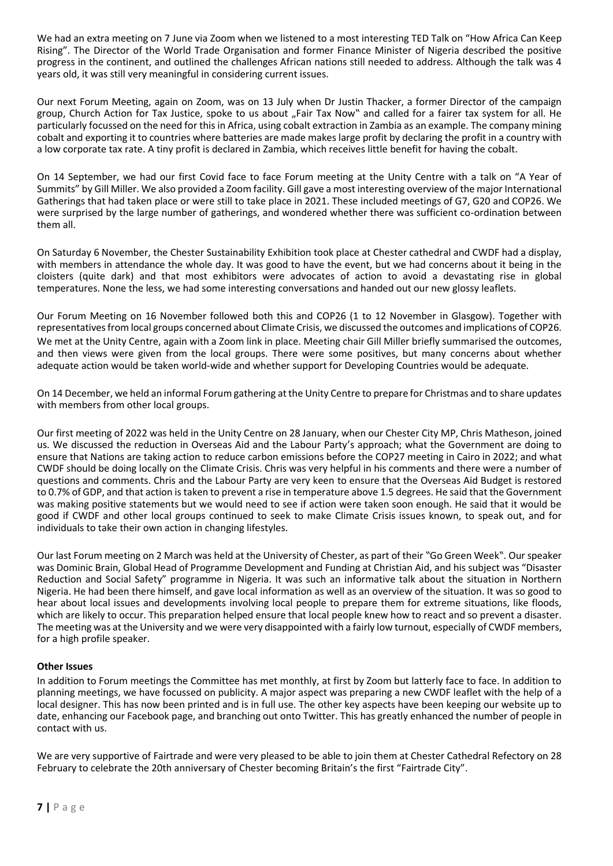We had an extra meeting on 7 June via Zoom when we listened to a most interesting TED Talk on "How Africa Can Keep Rising". The Director of the World Trade Organisation and former Finance Minister of Nigeria described the positive progress in the continent, and outlined the challenges African nations still needed to address. Although the talk was 4 years old, it was still very meaningful in considering current issues.

Our next Forum Meeting, again on Zoom, was on 13 July when Dr Justin Thacker, a former Director of the campaign group, Church Action for Tax Justice, spoke to us about "Fair Tax Now" and called for a fairer tax system for all. He particularly focussed on the need for this in Africa, using cobalt extraction in Zambia as an example. The company mining cobalt and exporting it to countries where batteries are made makes large profit by declaring the profit in a country with a low corporate tax rate. A tiny profit is declared in Zambia, which receives little benefit for having the cobalt.

On 14 September, we had our first Covid face to face Forum meeting at the Unity Centre with a talk on "A Year of Summits" by Gill Miller. We also provided a Zoom facility. Gill gave a most interesting overview of the major International Gatherings that had taken place or were still to take place in 2021. These included meetings of G7, G20 and COP26. We were surprised by the large number of gatherings, and wondered whether there was sufficient co-ordination between them all.

On Saturday 6 November, the Chester Sustainability Exhibition took place at Chester cathedral and CWDF had a display, with members in attendance the whole day. It was good to have the event, but we had concerns about it being in the cloisters (quite dark) and that most exhibitors were advocates of action to avoid a devastating rise in global temperatures. None the less, we had some interesting conversations and handed out our new glossy leaflets.

Our Forum Meeting on 16 November followed both this and COP26 (1 to 12 November in Glasgow). Together with representatives from local groups concerned about Climate Crisis, we discussed the outcomes and implications of COP26. We met at the Unity Centre, again with a Zoom link in place. Meeting chair Gill Miller briefly summarised the outcomes, and then views were given from the local groups. There were some positives, but many concerns about whether adequate action would be taken world-wide and whether support for Developing Countries would be adequate.

On 14 December, we held an informal Forum gathering at the Unity Centre to prepare for Christmas and to share updates with members from other local groups.

Our first meeting of 2022 was held in the Unity Centre on 28 January, when our Chester City MP, Chris Matheson, joined us. We discussed the reduction in Overseas Aid and the Labour Party's approach; what the Government are doing to ensure that Nations are taking action to reduce carbon emissions before the COP27 meeting in Cairo in 2022; and what CWDF should be doing locally on the Climate Crisis. Chris was very helpful in his comments and there were a number of questions and comments. Chris and the Labour Party are very keen to ensure that the Overseas Aid Budget is restored to 0.7% of GDP, and that action is taken to prevent a rise in temperature above 1.5 degrees. He said that the Government was making positive statements but we would need to see if action were taken soon enough. He said that it would be good if CWDF and other local groups continued to seek to make Climate Crisis issues known, to speak out, and for individuals to take their own action in changing lifestyles.

Our last Forum meeting on 2 March was held at the University of Chester, as part of their "Go Green Week". Our speaker was Dominic Brain, Global Head of Programme Development and Funding at Christian Aid, and his subject was "Disaster Reduction and Social Safety" programme in Nigeria. It was such an informative talk about the situation in Northern Nigeria. He had been there himself, and gave local information as well as an overview of the situation. It was so good to hear about local issues and developments involving local people to prepare them for extreme situations, like floods, which are likely to occur. This preparation helped ensure that local people knew how to react and so prevent a disaster. The meeting was at the University and we were very disappointed with a fairly low turnout, especially of CWDF members, for a high profile speaker.

## **Other Issues**

In addition to Forum meetings the Committee has met monthly, at first by Zoom but latterly face to face. In addition to planning meetings, we have focussed on publicity. A major aspect was preparing a new CWDF leaflet with the help of a local designer. This has now been printed and is in full use. The other key aspects have been keeping our website up to date, enhancing our Facebook page, and branching out onto Twitter. This has greatly enhanced the number of people in contact with us.

We are very supportive of Fairtrade and were very pleased to be able to join them at Chester Cathedral Refectory on 28 February to celebrate the 20th anniversary of Chester becoming Britain's the first "Fairtrade City".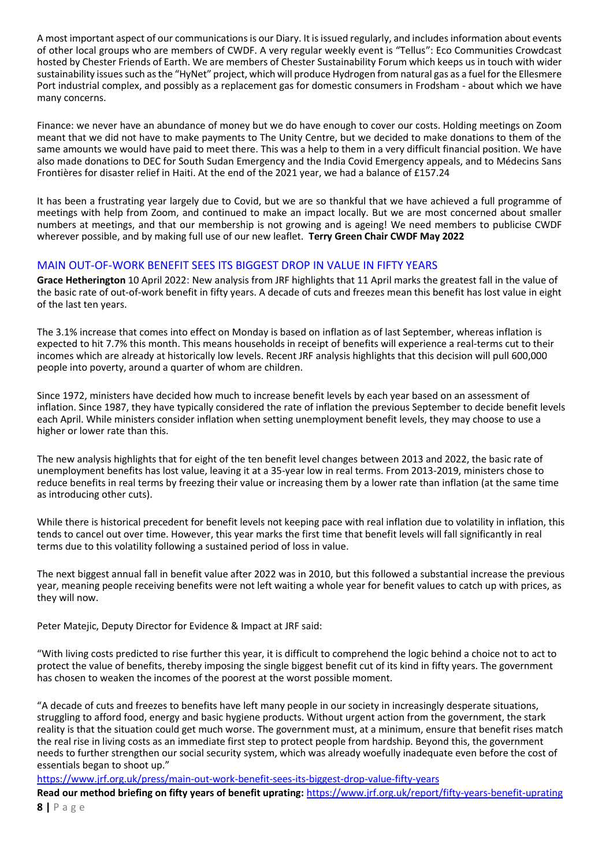A most important aspect of our communications is our Diary. It is issued regularly, and includes information about events of other local groups who are members of CWDF. A very regular weekly event is "Tellus": Eco Communities Crowdcast hosted by Chester Friends of Earth. We are members of Chester Sustainability Forum which keeps us in touch with wider sustainability issues such as the "HyNet" project, which will produce Hydrogen from natural gas as a fuel for the Ellesmere Port industrial complex, and possibly as a replacement gas for domestic consumers in Frodsham - about which we have many concerns.

Finance: we never have an abundance of money but we do have enough to cover our costs. Holding meetings on Zoom meant that we did not have to make payments to The Unity Centre, but we decided to make donations to them of the same amounts we would have paid to meet there. This was a help to them in a very difficult financial position. We have also made donations to DEC for South Sudan Emergency and the India Covid Emergency appeals, and to Médecins Sans Frontières for disaster relief in Haiti. At the end of the 2021 year, we had a balance of £157.24

It has been a frustrating year largely due to Covid, but we are so thankful that we have achieved a full programme of meetings with help from Zoom, and continued to make an impact locally. But we are most concerned about smaller numbers at meetings, and that our membership is not growing and is ageing! We need members to publicise CWDF wherever possible, and by making full use of our new leaflet. **Terry Green Chair CWDF May 2022**

# MAIN OUT-OF-WORK BENEFIT SEES ITS BIGGEST DROP IN VALUE IN FIFTY YEARS

**Grace Hetherington** 10 April 2022: New analysis from JRF highlights that 11 April marks the greatest fall in the value of the basic rate of out-of-work benefit in fifty years. A decade of cuts and freezes mean this benefit has lost value in eight of the last ten years.

The 3.1% increase that comes into effect on Monday is based on inflation as of last September, whereas inflation is expected to hit 7.7% this month. This means households in receipt of benefits will experience a real-terms cut to their incomes which are already at historically low levels. Recent JRF analysis highlights that this decision will pull 600,000 people into poverty, around a quarter of whom are children.

Since 1972, ministers have decided how much to increase benefit levels by each year based on an assessment of inflation. Since 1987, they have typically considered the rate of inflation the previous September to decide benefit levels each April. While ministers consider inflation when setting unemployment benefit levels, they may choose to use a higher or lower rate than this.

The new analysis highlights that for eight of the ten benefit level changes between 2013 and 2022, the basic rate of unemployment benefits has lost value, leaving it at a 35-year low in real terms. From 2013-2019, ministers chose to reduce benefits in real terms by freezing their value or increasing them by a lower rate than inflation (at the same time as introducing other cuts).

While there is historical precedent for benefit levels not keeping pace with real inflation due to volatility in inflation, this tends to cancel out over time. However, this year marks the first time that benefit levels will fall significantly in real terms due to this volatility following a sustained period of loss in value.

The next biggest annual fall in benefit value after 2022 was in 2010, but this followed a substantial increase the previous year, meaning people receiving benefits were not left waiting a whole year for benefit values to catch up with prices, as they will now.

Peter Matejic, Deputy Director for Evidence & Impact at JRF said:

"With living costs predicted to rise further this year, it is difficult to comprehend the logic behind a choice not to act to protect the value of benefits, thereby imposing the single biggest benefit cut of its kind in fifty years. The government has chosen to weaken the incomes of the poorest at the worst possible moment.

"A decade of cuts and freezes to benefits have left many people in our society in increasingly desperate situations, struggling to afford food, energy and basic hygiene products. Without urgent action from the government, the stark reality is that the situation could get much worse. The government must, at a minimum, ensure that benefit rises match the real rise in living costs as an immediate first step to protect people from hardship. Beyond this, the government needs to further strengthen our social security system, which was already woefully inadequate even before the cost of essentials began to shoot up."

<https://www.jrf.org.uk/press/main-out-work-benefit-sees-its-biggest-drop-value-fifty-years>

**8 |** P a g e **Read our method briefing on fifty years of benefit uprating:** <https://www.jrf.org.uk/report/fifty-years-benefit-uprating>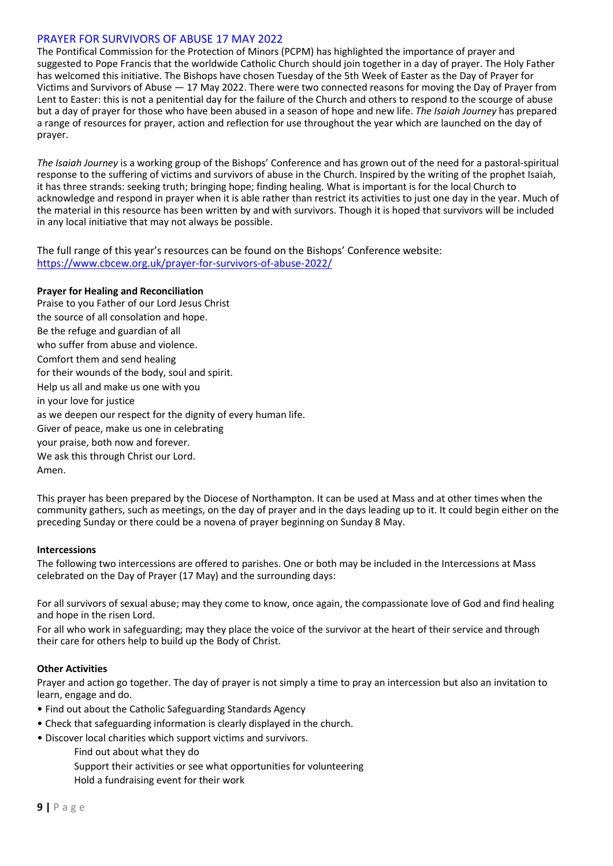# PRAYER FOR SURVIVORS OF ABUSE 17 MAY 2022

The Pontifical Commission for the Protection of Minors (PCPM) has highlighted the importance of prayer and suggested to Pope Francis that the worldwide Catholic Church should join together in a day of prayer. The Holy Father has welcomed this initiative. The Bishops have chosen Tuesday of the 5th Week of Easter as the Day of Prayer for Victims and Survivors of Abuse — 17 May 2022. There were two connected reasons for moving the Day of Prayer from Lent to Easter: this is not a penitential day for the failure of the Church and others to respond to the scourge of abuse but a day of prayer for those who have been abused in a season of hope and new life. *The Isaiah Journey* has prepared a range of resources for prayer, action and reflection for use throughout the year which are launched on the day of prayer.

*The Isaiah Journey* is a working group of the Bishops' Conference and has grown out of the need for a pastoral-spiritual response to the suffering of victims and survivors of abuse in the Church. Inspired by the writing of the prophet Isaiah, it has three strands: seeking truth; bringing hope; finding healing. What is important is for the local Church to acknowledge and respond in prayer when it is able rather than restrict its activities to just one day in the year. Much of the material in this resource has been written by and with survivors. Though it is hoped that survivors will be included in any local initiative that may not always be possible.

The full range of this year's resources can be found on the Bishops' Conference website: https://www.cbcew.org.uk/prayer-for-survivors-of-abuse-2022/

## **Prayer for Healing and Reconciliation**

Praise to you Father of our Lord Jesus Christ the source of all consolation and hope. Be the refuge and guardian of all who suffer from abuse and violence. Comfort them and send healing for their wounds of the body, soul and spirit. Help us all and make us one with you in your love for justice as we deepen our respect for the dignity of every human life. Giver of peace, make us one in celebrating your praise, both now and forever. We ask this through Christ our Lord. Amen.

This prayer has been prepared by the Diocese of Northampton. It can be used at Mass and at other times when the community gathers, such as meetings, on the day of prayer and in the days leading up to it. It could begin either on the preceding Sunday or there could be a novena of prayer beginning on Sunday 8 May.

# **Intercessions**

The following two intercessions are offered to parishes. One or both may be included in the Intercessions at Mass celebrated on the Day of Prayer (17 May) and the surrounding days:

For all survivors of sexual abuse; may they come to know, once again, the compassionate love of God and find healing and hope in the risen Lord.

For all who work in safeguarding; may they place the voice of the survivor at the heart of their service and through their care for others help to build up the Body of Christ.

# **Other Activities**

Prayer and action go together. The day of prayer is not simply a time to pray an intercession but also an invitation to learn, engage and do.

- Find out about the Catholic Safeguarding Standards Agency
- Check that safeguarding information is clearly displayed in the church.
- Discover local charities which support victims and survivors.
	- Find out about what they do
	- Support their activities or see what opportunities for volunteering
	- Hold a fundraising event for their work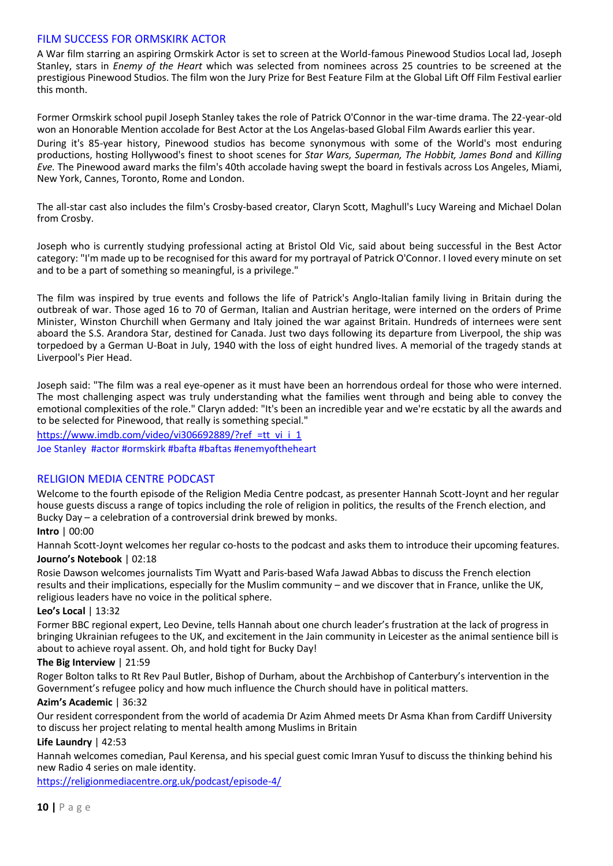## FILM SUCCESS FOR ORMSKIRK ACTOR

A War film starring an aspiring Ormskirk Actor is set to screen at the World-famous Pinewood Studios Local lad, Joseph Stanley, stars in *Enemy of the Heart* which was selected from nominees across 25 countries to be screened at the prestigious Pinewood Studios. The film won the Jury Prize for Best Feature Film at the Global Lift Off Film Festival earlier this month.

Former Ormskirk school pupil Joseph Stanley takes the role of Patrick O'Connor in the war-time drama. The 22-year-old won an Honorable Mention accolade for Best Actor at the Los Angelas-based Global Film Awards earlier this year. During it's 85-year history, Pinewood studios has become synonymous with some of the World's most enduring productions, hosting Hollywood's finest to shoot scenes for *Star Wars, Superman, The Hobbit, James Bond* and *Killing Eve.* The Pinewood award marks the film's 40th accolade having swept the board in festivals across Los Angeles, Miami, New York, Cannes, Toronto, Rome and London.

The all-star cast also includes the film's Crosby-based creator, Claryn Scott, Maghull's Lucy Wareing and Michael Dolan from Crosby.

Joseph who is currently studying professional acting at Bristol Old Vic, said about being successful in the Best Actor category: "I'm made up to be recognised for this award for my portrayal of Patrick O'Connor. I loved every minute on set and to be a part of something so meaningful, is a privilege."

The film was inspired by true events and follows the life of Patrick's Anglo-Italian family living in Britain during the outbreak of war. Those aged 16 to 70 of German, Italian and Austrian heritage, were interned on the orders of Prime Minister, Winston Churchill when Germany and Italy joined the war against Britain. Hundreds of internees were sent aboard the S.S. Arandora Star, destined for Canada. Just two days following its departure from Liverpool, the ship was torpedoed by a German U-Boat in July, 1940 with the loss of eight hundred lives. A memorial of the tragedy stands at Liverpool's Pier Head.

Joseph said: "The film was a real eye-opener as it must have been an horrendous ordeal for those who were interned. The most challenging aspect was truly understanding what the families went through and being able to convey the emotional complexities of the role." Claryn added: "It's been an incredible year and we're ecstatic by all the awards and to be selected for Pinewood, that really is something special."

[https://www.imdb.com/video/vi306692889/?ref\\_=tt\\_vi\\_i\\_1](https://www.imdb.com/video/vi306692889/?ref_=tt_vi_i_1) Joe Stanley #actor #ormskirk #bafta #baftas #enemyoftheheart

# RELIGION MEDIA CENTRE PODCAST

Welcome to the fourth episode of the Religion Media Centre podcast, as presenter Hannah Scott-Joynt and her regular house guests discuss a range of topics including the role of religion in politics, the results of the French election, and Bucky Day – a celebration of a controversial drink brewed by monks.

## **Intro** | 00:00

Hannah Scott-Joynt welcomes her regular co-hosts to the podcast and asks them to introduce their upcoming features. **Journo's Notebook** | 02:18

Rosie Dawson welcomes journalists Tim Wyatt and Paris-based Wafa Jawad Abbas to discuss the French election results and their implications, especially for the Muslim community – and we discover that in France, unlike the UK, religious leaders have no voice in the political sphere.

#### **Leo's Local** | 13:32

Former BBC regional expert, Leo Devine, tells Hannah about one church leader's frustration at the lack of progress in bringing Ukrainian refugees to the UK, and excitement in the Jain community in Leicester as the animal sentience bill is about to achieve royal assent. Oh, and hold tight for Bucky Day!

#### **The Big Interview** | 21:59

Roger Bolton talks to Rt Rev Paul Butler, Bishop of Durham, about the Archbishop of Canterbury's intervention in the Government's refugee policy and how much influence the Church should have in political matters.

#### **Azim's Academic** | 36:32

Our resident correspondent from the world of academia Dr Azim Ahmed meets Dr Asma Khan from Cardiff University to discuss her project relating to mental health among Muslims in Britain

## **Life Laundry** | 42:53

Hannah welcomes comedian, Paul Kerensa, and his special guest comic Imran Yusuf to discuss the thinking behind his new Radio 4 series on male identity.

<https://religionmediacentre.org.uk/podcast/episode-4/>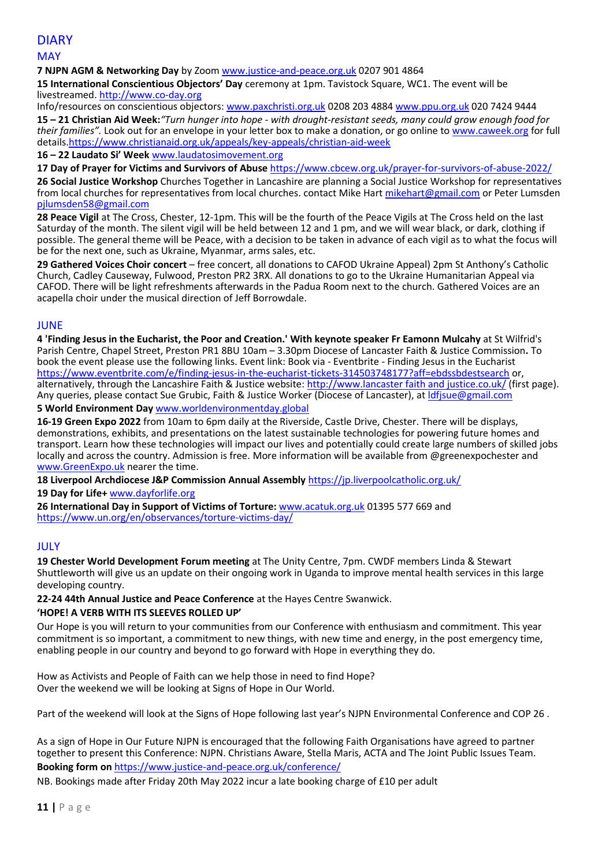# DIARY

## **MAY**

**7 NJPN AGM & Networking Day** by Zoo[m www.justice-and-peace.org.uk](http://www.justice-and-peace.org.uk/) 0207 901 4864

**15 International Conscientious Objectors' Day** ceremony at 1pm. Tavistock Square, WC1. The event will be livestreamed[. http://www.co-day.org](http://www.co-day.org/)

Info/resources on conscientious objectors: [www.paxchristi.org.uk](http://www.paxchristi.org.uk/) 0208 203 4884 [www.ppu.org.uk](http://www.ppu.org.uk/) 020 7424 9444 **15 – 21 Christian Aid Week:***"Turn hunger into hope - with drought-resistant seeds, many could grow enough food for their families".* Look out for an envelope in your letter box to make a donation, or go online to www.caweek.org for full details[.https://www.christianaid.org.uk/appeals/key-appeals/christian-aid-week](https://www.christianaid.org.uk/appeals/key-appeals/christian-aid-week)

**16 – 22 Laudato Si' Week** [www.laudatosimovement.org](http://www.laudatosimovement.org/)

**17 Day of Prayer for Victims and Survivors of Abuse** https://www.cbcew.org.uk/prayer-for-survivors-of-abuse-2022/

**26 Social Justice Workshop** Churches Together in Lancashire are planning a Social Justice Workshop for representatives from local churches for representatives from local churches. contact Mike Hart [mikehart@gmail.com](mailto:mikehart@gmail.com) or Peter Lumsden [pjlumsden58@gmail.com](mailto:pjlumsden58@gmail.com)

**28 Peace Vigil** at The Cross, Chester, 12-1pm. This will be the fourth of the Peace Vigils at The Cross held on the last Saturday of the month. The silent vigil will be held between 12 and 1 pm, and we will wear black, or dark, clothing if possible. The general theme will be Peace, with a decision to be taken in advance of each vigil as to what the focus will be for the next one, such as Ukraine, Myanmar, arms sales, etc.

**29 Gathered Voices Choir concert** – free concert, all donations to CAFOD Ukraine Appeal) 2pm St Anthony's Catholic Church, Cadley Causeway, Fulwood, Preston PR2 3RX. All donations to go to the Ukraine Humanitarian Appeal via CAFOD. There will be light refreshments afterwards in the Padua Room next to the church. Gathered Voices are an acapella choir under the musical direction of Jeff Borrowdale.

# JUNE

**4 'Finding Jesus in the Eucharist, the Poor and Creation.' With keynote speaker Fr Eamonn Mulcahy** at St Wilfrid's Parish Centre, Chapel Street, Preston PR1 8BU 10am – 3.30pm Diocese of Lancaster Faith & Justice Commission**.** To book the event please use the following links. Event link: Book via - Eventbrite - Finding Jesus in the Eucharist <https://www.eventbrite.com/e/finding-jesus-in-the-eucharist-tickets-314503748177?aff=ebdssbdestsearch> or, alternatively, through the Lancashire Faith & Justice website: http://www.lancaster faith and justice.co.uk/ (first page). Any queries, please contact Sue Grubic, Faith & Justice Worker (Diocese of Lancaster), a[t ldfjsue@gmail.com](mailto:ldfjsue@gmail.com)

# **5 World Environment Day** [www.worldenvironmentday.global](http://www.worldenvironmentday.global/)

**16-19 Green Expo 2022** from 10am to 6pm daily at the Riverside, Castle Drive, Chester. There will be displays, demonstrations, exhibits, and presentations on the latest sustainable technologies for powering future homes and transport. Learn how these technologies will impact our lives and potentially could create large numbers of skilled jobs locally and across the country. Admission is free. More information will be available from @greenexpochester and www.GreenExpo.uk nearer the time.

**18 Liverpool Archdiocese J&P Commission Annual Assembly** <https://jp.liverpoolcatholic.org.uk/>

**19 Day for Life+** [www.dayforlife.org](http://www.dayforlife.org/)

**26 International Day in Support of Victims of Torture:** [www.acatuk.org.uk](http://www.acatuk.org.uk/) 01395 577 669 and https://www.un.org/en/observances/torture-victims-day/

## JULY

**19 Chester World Development Forum meeting** at The Unity Centre, 7pm. CWDF members Linda & Stewart Shuttleworth will give us an update on their ongoing work in Uganda to improve mental health services in this large developing country.

**22-24 44th Annual Justice and Peace Conference** at the Hayes Centre Swanwick.

## **'HOPE! A VERB WITH ITS SLEEVES ROLLED UP'**

Our Hope is you will return to your communities from our Conference with enthusiasm and commitment. This year commitment is so important, a commitment to new things, with new time and energy, in the post emergency time, enabling people in our country and beyond to go forward with Hope in everything they do.

How as Activists and People of Faith can we help those in need to find Hope? Over the weekend we will be looking at Signs of Hope in Our World.

Part of the weekend will look at the Signs of Hope following last year's NJPN Environmental Conference and COP 26 .

As a sign of Hope in Our Future NJPN is encouraged that the following Faith Organisations have agreed to partner together to present this Conference: NJPN. Christians Aware, Stella Maris, ACTA and The Joint Public Issues Team. **Booking form on** <https://www.justice-and-peace.org.uk/conference/>

NB. Bookings made after Friday 20th May 2022 incur a late booking charge of £10 per adult